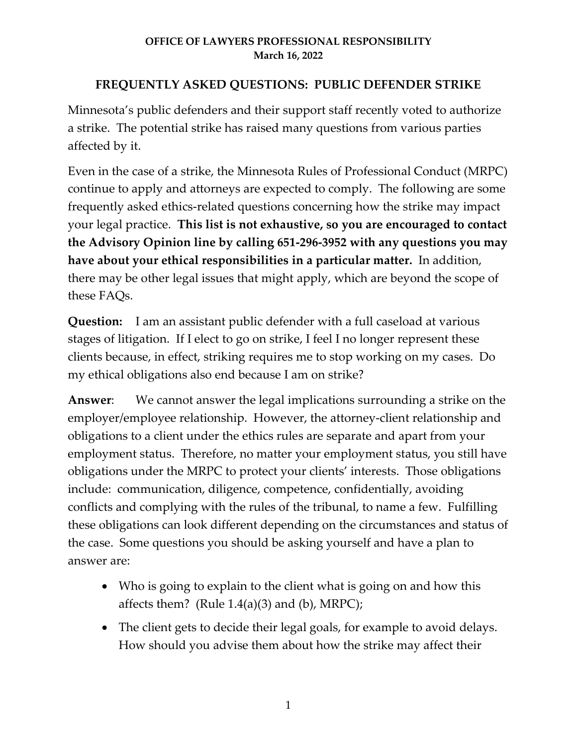# **FREQUENTLY ASKED QUESTIONS: PUBLIC DEFENDER STRIKE**

Minnesota's public defenders and their support staff recently voted to authorize a strike. The potential strike has raised many questions from various parties affected by it.

Even in the case of a strike, the Minnesota Rules of Professional Conduct (MRPC) continue to apply and attorneys are expected to comply. The following are some frequently asked ethics-related questions concerning how the strike may impact your legal practice. **This list is not exhaustive, so you are encouraged to contact the Advisory Opinion line by calling 651-296-3952 with any questions you may have about your ethical responsibilities in a particular matter.** In addition, there may be other legal issues that might apply, which are beyond the scope of these FAQs.

**Question:** I am an assistant public defender with a full caseload at various stages of litigation. If I elect to go on strike, I feel I no longer represent these clients because, in effect, striking requires me to stop working on my cases. Do my ethical obligations also end because I am on strike?

**Answer**: We cannot answer the legal implications surrounding a strike on the employer/employee relationship. However, the attorney-client relationship and obligations to a client under the ethics rules are separate and apart from your employment status. Therefore, no matter your employment status, you still have obligations under the MRPC to protect your clients' interests. Those obligations include: communication, diligence, competence, confidentially, avoiding conflicts and complying with the rules of the tribunal, to name a few. Fulfilling these obligations can look different depending on the circumstances and status of the case. Some questions you should be asking yourself and have a plan to answer are:

- Who is going to explain to the client what is going on and how this affects them? (Rule  $1.4(a)(3)$  and (b), MRPC);
- The client gets to decide their legal goals, for example to avoid delays. How should you advise them about how the strike may affect their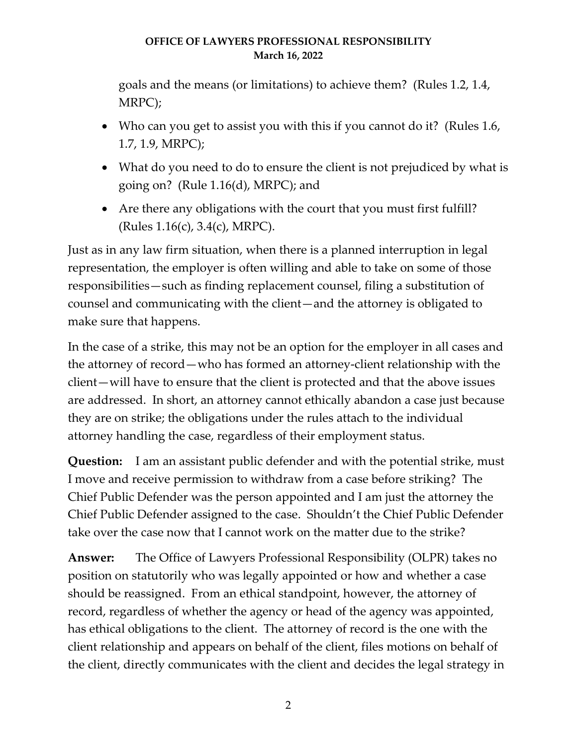goals and the means (or limitations) to achieve them? (Rules 1.2, 1.4, MRPC);

- Who can you get to assist you with this if you cannot do it? (Rules 1.6, 1.7, 1.9, MRPC);
- What do you need to do to ensure the client is not prejudiced by what is going on? (Rule 1.16(d), MRPC); and
- Are there any obligations with the court that you must first fulfill? (Rules 1.16(c), 3.4(c), MRPC).

Just as in any law firm situation, when there is a planned interruption in legal representation, the employer is often willing and able to take on some of those responsibilities—such as finding replacement counsel, filing a substitution of counsel and communicating with the client—and the attorney is obligated to make sure that happens.

In the case of a strike, this may not be an option for the employer in all cases and the attorney of record—who has formed an attorney-client relationship with the client—will have to ensure that the client is protected and that the above issues are addressed. In short, an attorney cannot ethically abandon a case just because they are on strike; the obligations under the rules attach to the individual attorney handling the case, regardless of their employment status.

**Question:** I am an assistant public defender and with the potential strike, must I move and receive permission to withdraw from a case before striking? The Chief Public Defender was the person appointed and I am just the attorney the Chief Public Defender assigned to the case. Shouldn't the Chief Public Defender take over the case now that I cannot work on the matter due to the strike?

**Answer:** The Office of Lawyers Professional Responsibility (OLPR) takes no position on statutorily who was legally appointed or how and whether a case should be reassigned. From an ethical standpoint, however, the attorney of record, regardless of whether the agency or head of the agency was appointed, has ethical obligations to the client. The attorney of record is the one with the client relationship and appears on behalf of the client, files motions on behalf of the client, directly communicates with the client and decides the legal strategy in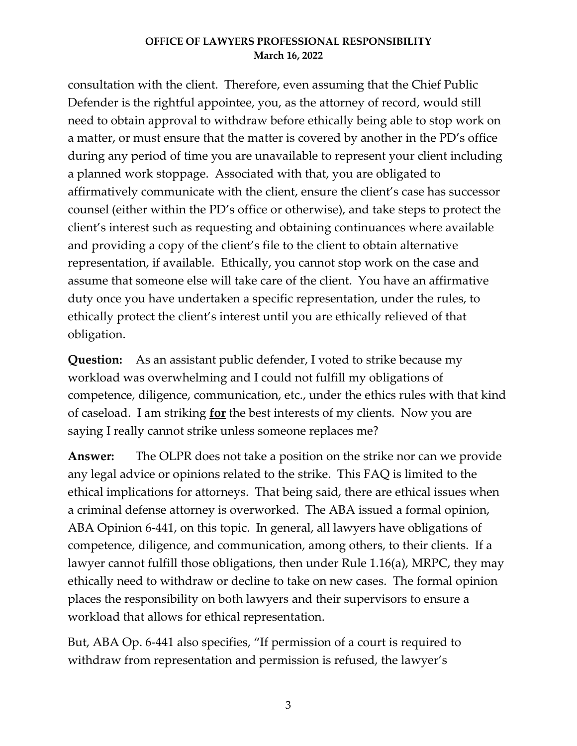consultation with the client. Therefore, even assuming that the Chief Public Defender is the rightful appointee, you, as the attorney of record, would still need to obtain approval to withdraw before ethically being able to stop work on a matter, or must ensure that the matter is covered by another in the PD's office during any period of time you are unavailable to represent your client including a planned work stoppage. Associated with that, you are obligated to affirmatively communicate with the client, ensure the client's case has successor counsel (either within the PD's office or otherwise), and take steps to protect the client's interest such as requesting and obtaining continuances where available and providing a copy of the client's file to the client to obtain alternative representation, if available. Ethically, you cannot stop work on the case and assume that someone else will take care of the client. You have an affirmative duty once you have undertaken a specific representation, under the rules, to ethically protect the client's interest until you are ethically relieved of that obligation.

**Question:** As an assistant public defender, I voted to strike because my workload was overwhelming and I could not fulfill my obligations of competence, diligence, communication, etc., under the ethics rules with that kind of caseload. I am striking **for** the best interests of my clients. Now you are saying I really cannot strike unless someone replaces me?

**Answer:** The OLPR does not take a position on the strike nor can we provide any legal advice or opinions related to the strike. This FAQ is limited to the ethical implications for attorneys. That being said, there are ethical issues when a criminal defense attorney is overworked. The ABA issued a formal opinion, ABA Opinion 6-441, on this topic. In general, all lawyers have obligations of competence, diligence, and communication, among others, to their clients. If a lawyer cannot fulfill those obligations, then under Rule 1.16(a), MRPC, they may ethically need to withdraw or decline to take on new cases. The formal opinion places the responsibility on both lawyers and their supervisors to ensure a workload that allows for ethical representation.

But, ABA Op. 6-441 also specifies, "If permission of a court is required to withdraw from representation and permission is refused, the lawyer's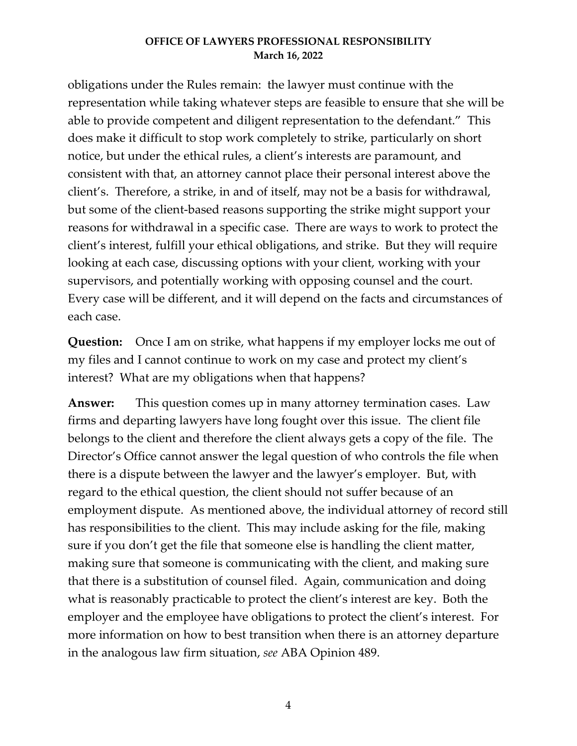obligations under the Rules remain: the lawyer must continue with the representation while taking whatever steps are feasible to ensure that she will be able to provide competent and diligent representation to the defendant." This does make it difficult to stop work completely to strike, particularly on short notice, but under the ethical rules, a client's interests are paramount, and consistent with that, an attorney cannot place their personal interest above the client's. Therefore, a strike, in and of itself, may not be a basis for withdrawal, but some of the client-based reasons supporting the strike might support your reasons for withdrawal in a specific case. There are ways to work to protect the client's interest, fulfill your ethical obligations, and strike. But they will require looking at each case, discussing options with your client, working with your supervisors, and potentially working with opposing counsel and the court. Every case will be different, and it will depend on the facts and circumstances of each case.

**Question:** Once I am on strike, what happens if my employer locks me out of my files and I cannot continue to work on my case and protect my client's interest? What are my obligations when that happens?

**Answer:** This question comes up in many attorney termination cases. Law firms and departing lawyers have long fought over this issue. The client file belongs to the client and therefore the client always gets a copy of the file. The Director's Office cannot answer the legal question of who controls the file when there is a dispute between the lawyer and the lawyer's employer. But, with regard to the ethical question, the client should not suffer because of an employment dispute. As mentioned above, the individual attorney of record still has responsibilities to the client. This may include asking for the file, making sure if you don't get the file that someone else is handling the client matter, making sure that someone is communicating with the client, and making sure that there is a substitution of counsel filed. Again, communication and doing what is reasonably practicable to protect the client's interest are key. Both the employer and the employee have obligations to protect the client's interest. For more information on how to best transition when there is an attorney departure in the analogous law firm situation, *see* ABA Opinion 489.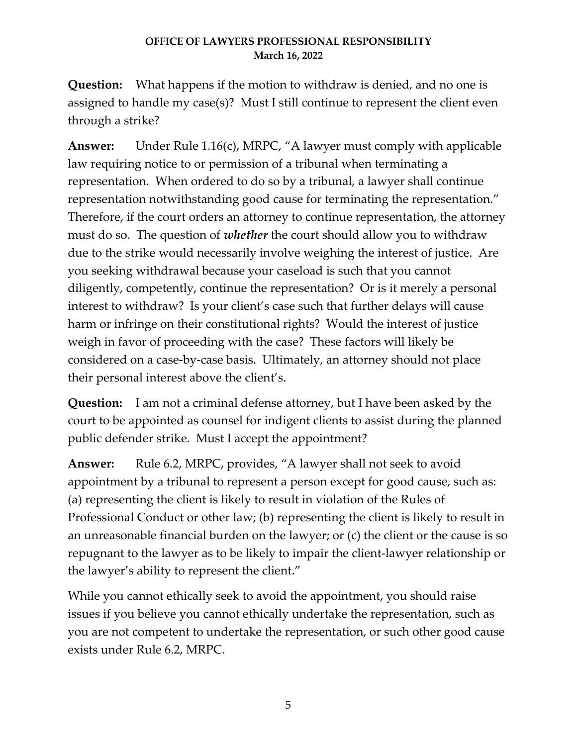**Question:** What happens if the motion to withdraw is denied, and no one is assigned to handle my case(s)? Must I still continue to represent the client even through a strike?

**Answer:** Under Rule 1.16(c), MRPC, "A lawyer must comply with applicable law requiring notice to or permission of a tribunal when terminating a representation. When ordered to do so by a tribunal, a lawyer shall continue representation notwithstanding good cause for terminating the representation." Therefore, if the court orders an attorney to continue representation, the attorney must do so. The question of *whether* the court should allow you to withdraw due to the strike would necessarily involve weighing the interest of justice. Are you seeking withdrawal because your caseload is such that you cannot diligently, competently, continue the representation? Or is it merely a personal interest to withdraw? Is your client's case such that further delays will cause harm or infringe on their constitutional rights? Would the interest of justice weigh in favor of proceeding with the case? These factors will likely be considered on a case-by-case basis. Ultimately, an attorney should not place their personal interest above the client's.

**Question:** I am not a criminal defense attorney, but I have been asked by the court to be appointed as counsel for indigent clients to assist during the planned public defender strike. Must I accept the appointment?

**Answer:** Rule 6.2, MRPC, provides, "A lawyer shall not seek to avoid appointment by a tribunal to represent a person except for good cause, such as: (a) representing the client is likely to result in violation of the Rules of Professional Conduct or other law; (b) representing the client is likely to result in an unreasonable financial burden on the lawyer; or (c) the client or the cause is so repugnant to the lawyer as to be likely to impair the client-lawyer relationship or the lawyer's ability to represent the client."

While you cannot ethically seek to avoid the appointment, you should raise issues if you believe you cannot ethically undertake the representation, such as you are not competent to undertake the representation, or such other good cause exists under Rule 6.2, MRPC.